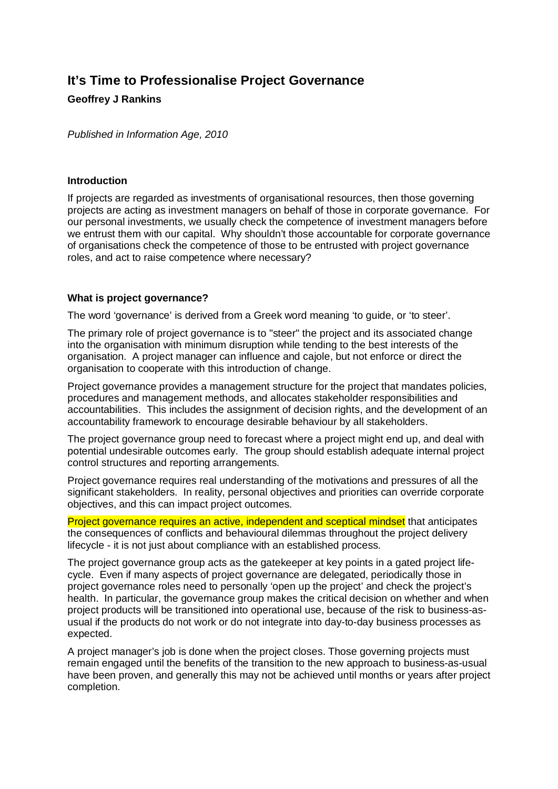# **It's Time to Professionalise Project Governance**

# **Geoffrey J Rankins**

*Published in Information Age, 2010* 

#### **Introduction**

If projects are regarded as investments of organisational resources, then those governing projects are acting as investment managers on behalf of those in corporate governance. For our personal investments, we usually check the competence of investment managers before we entrust them with our capital. Why shouldn't those accountable for corporate governance of organisations check the competence of those to be entrusted with project governance roles, and act to raise competence where necessary?

### **What is project governance?**

The word 'governance' is derived from a Greek word meaning 'to guide, or 'to steer'.

The primary role of project governance is to "steer" the project and its associated change into the organisation with minimum disruption while tending to the best interests of the organisation. A project manager can influence and cajole, but not enforce or direct the organisation to cooperate with this introduction of change.

Project governance provides a management structure for the project that mandates policies, procedures and management methods, and allocates stakeholder responsibilities and accountabilities. This includes the assignment of decision rights, and the development of an accountability framework to encourage desirable behaviour by all stakeholders.

The project governance group need to forecast where a project might end up, and deal with potential undesirable outcomes early. The group should establish adequate internal project control structures and reporting arrangements.

Project governance requires real understanding of the motivations and pressures of all the significant stakeholders. In reality, personal objectives and priorities can override corporate objectives, and this can impact project outcomes.

Project governance requires an active, independent and sceptical mindset that anticipates the consequences of conflicts and behavioural dilemmas throughout the project delivery lifecycle - it is not just about compliance with an established process.

The project governance group acts as the gatekeeper at key points in a gated project lifecycle. Even if many aspects of project governance are delegated, periodically those in project governance roles need to personally 'open up the project' and check the project's health. In particular, the governance group makes the critical decision on whether and when project products will be transitioned into operational use, because of the risk to business-asusual if the products do not work or do not integrate into day-to-day business processes as expected.

A project manager's job is done when the project closes. Those governing projects must remain engaged until the benefits of the transition to the new approach to business-as-usual have been proven, and generally this may not be achieved until months or years after project completion.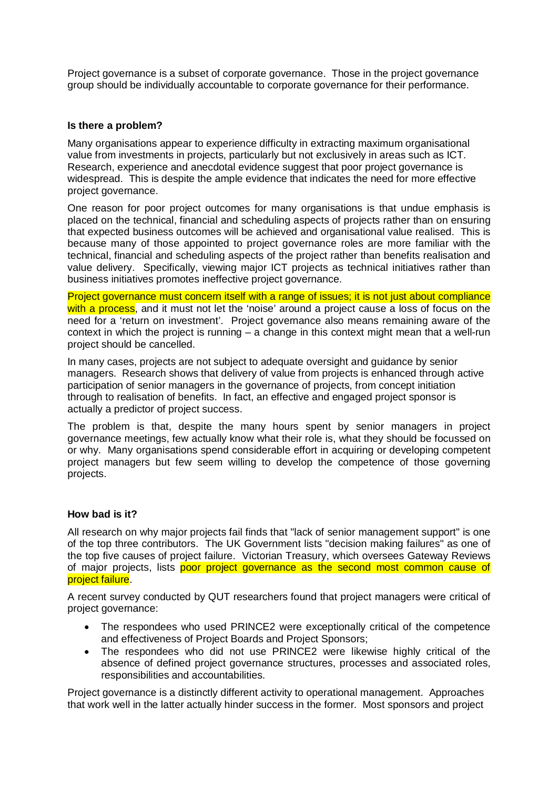Project governance is a subset of corporate governance. Those in the project governance group should be individually accountable to corporate governance for their performance.

### **Is there a problem?**

Many organisations appear to experience difficulty in extracting maximum organisational value from investments in projects, particularly but not exclusively in areas such as ICT. Research, experience and anecdotal evidence suggest that poor project governance is widespread. This is despite the ample evidence that indicates the need for more effective project governance.

One reason for poor project outcomes for many organisations is that undue emphasis is placed on the technical, financial and scheduling aspects of projects rather than on ensuring that expected business outcomes will be achieved and organisational value realised. This is because many of those appointed to project governance roles are more familiar with the technical, financial and scheduling aspects of the project rather than benefits realisation and value delivery. Specifically, viewing major ICT projects as technical initiatives rather than business initiatives promotes ineffective project governance.

Project governance must concern itself with a range of issues; it is not just about compliance with a process, and it must not let the 'noise' around a project cause a loss of focus on the need for a 'return on investment'. Project governance also means remaining aware of the context in which the project is running – a change in this context might mean that a well-run project should be cancelled.

In many cases, projects are not subject to adequate oversight and guidance by senior managers. Research shows that delivery of value from projects is enhanced through active participation of senior managers in the governance of projects, from concept initiation through to realisation of benefits. In fact, an effective and engaged project sponsor is actually a predictor of project success.

The problem is that, despite the many hours spent by senior managers in project governance meetings, few actually know what their role is, what they should be focussed on or why. Many organisations spend considerable effort in acquiring or developing competent project managers but few seem willing to develop the competence of those governing projects.

#### **How bad is it?**

All research on why major projects fail finds that "lack of senior management support" is one of the top three contributors. The UK Government lists "decision making failures" as one of the top five causes of project failure. Victorian Treasury, which oversees Gateway Reviews of major projects, lists poor project governance as the second most common cause of project failure.

A recent survey conducted by QUT researchers found that project managers were critical of project governance:

- The respondees who used PRINCE2 were exceptionally critical of the competence and effectiveness of Project Boards and Project Sponsors;
- The respondees who did not use PRINCE2 were likewise highly critical of the absence of defined project governance structures, processes and associated roles, responsibilities and accountabilities.

Project governance is a distinctly different activity to operational management. Approaches that work well in the latter actually hinder success in the former. Most sponsors and project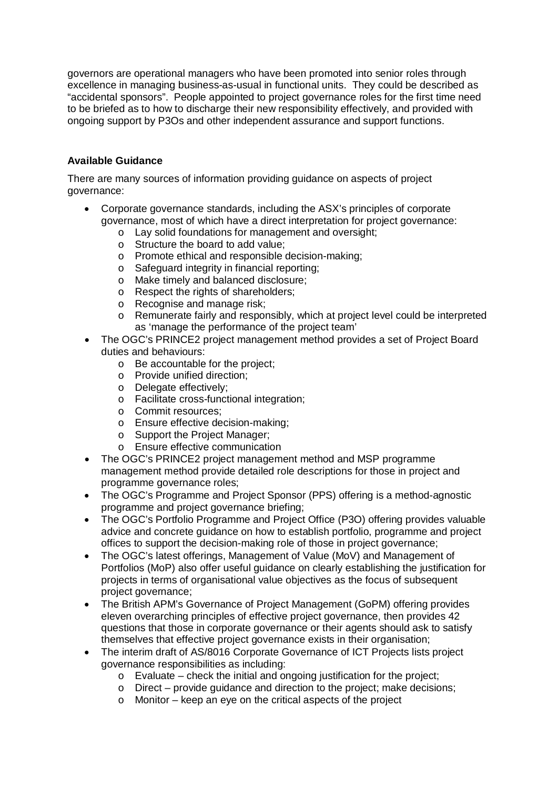governors are operational managers who have been promoted into senior roles through excellence in managing business-as-usual in functional units. They could be described as "accidental sponsors". People appointed to project governance roles for the first time need to be briefed as to how to discharge their new responsibility effectively, and provided with ongoing support by P3Os and other independent assurance and support functions.

### **Available Guidance**

There are many sources of information providing guidance on aspects of project governance:

- Corporate governance standards, including the ASX's principles of corporate governance, most of which have a direct interpretation for project governance:
	- o Lay solid foundations for management and oversight;
	- o Structure the board to add value;
	- o Promote ethical and responsible decision-making;
	- o Safeguard integrity in financial reporting;
	- o Make timely and balanced disclosure;
	- o Respect the rights of shareholders;
	- o Recognise and manage risk;
	- o Remunerate fairly and responsibly, which at project level could be interpreted as 'manage the performance of the project team'
- The OGC's PRINCE2 project management method provides a set of Project Board duties and behaviours:
	- o Be accountable for the project;
	- o Provide unified direction;
	- o Delegate effectively;
	- o Facilitate cross-functional integration;
	- o Commit resources;
	- o Ensure effective decision-making;
	- o Support the Project Manager;
	- o Ensure effective communication
- The OGC's PRINCE2 project management method and MSP programme management method provide detailed role descriptions for those in project and programme governance roles;
- The OGC's Programme and Project Sponsor (PPS) offering is a method-agnostic programme and project governance briefing;
- The OGC's Portfolio Programme and Project Office (P3O) offering provides valuable advice and concrete guidance on how to establish portfolio, programme and project offices to support the decision-making role of those in project governance;
- The OGC's latest offerings, Management of Value (MoV) and Management of Portfolios (MoP) also offer useful guidance on clearly establishing the justification for projects in terms of organisational value objectives as the focus of subsequent project governance;
- The British APM's Governance of Project Management (GoPM) offering provides eleven overarching principles of effective project governance, then provides 42 questions that those in corporate governance or their agents should ask to satisfy themselves that effective project governance exists in their organisation;
- The interim draft of AS/8016 Corporate Governance of ICT Projects lists project governance responsibilities as including:
	- o Evaluate check the initial and ongoing justification for the project;
	- o Direct provide guidance and direction to the project; make decisions;
	- o Monitor keep an eye on the critical aspects of the project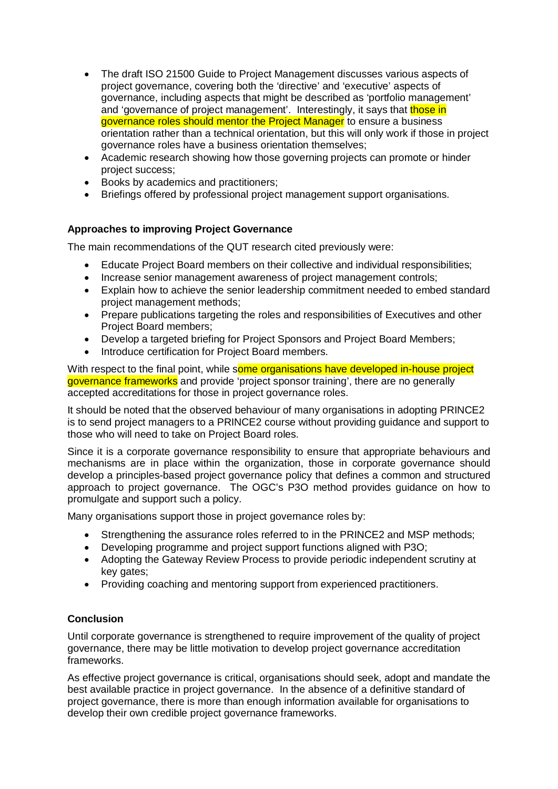- The draft ISO 21500 Guide to Project Management discusses various aspects of project governance, covering both the 'directive' and 'executive' aspects of governance, including aspects that might be described as 'portfolio management' and 'governance of project management'. Interestingly, it says that those in governance roles should mentor the Project Manager to ensure a business orientation rather than a technical orientation, but this will only work if those in project governance roles have a business orientation themselves;
- Academic research showing how those governing projects can promote or hinder project success;
- Books by academics and practitioners;
- Briefings offered by professional project management support organisations.

### **Approaches to improving Project Governance**

The main recommendations of the QUT research cited previously were:

- x Educate Project Board members on their collective and individual responsibilities;
- Increase senior management awareness of project management controls;
- Explain how to achieve the senior leadership commitment needed to embed standard project management methods;
- Prepare publications targeting the roles and responsibilities of Executives and other Project Board members;
- Develop a targeted briefing for Project Sponsors and Project Board Members;
- Introduce certification for Project Board members.

With respect to the final point, while some organisations have developed in-house project governance frameworks and provide 'project sponsor training', there are no generally accepted accreditations for those in project governance roles.

It should be noted that the observed behaviour of many organisations in adopting PRINCE2 is to send project managers to a PRINCE2 course without providing guidance and support to those who will need to take on Project Board roles.

Since it is a corporate governance responsibility to ensure that appropriate behaviours and mechanisms are in place within the organization, those in corporate governance should develop a principles-based project governance policy that defines a common and structured approach to project governance. The OGC's P3O method provides guidance on how to promulgate and support such a policy.

Many organisations support those in project governance roles by:

- Strengthening the assurance roles referred to in the PRINCE2 and MSP methods;
- Developing programme and project support functions aligned with P3O;
- Adopting the Gateway Review Process to provide periodic independent scrutiny at key gates;
- Providing coaching and mentoring support from experienced practitioners.

# **Conclusion**

Until corporate governance is strengthened to require improvement of the quality of project governance, there may be little motivation to develop project governance accreditation frameworks.

As effective project governance is critical, organisations should seek, adopt and mandate the best available practice in project governance. In the absence of a definitive standard of project governance, there is more than enough information available for organisations to develop their own credible project governance frameworks.